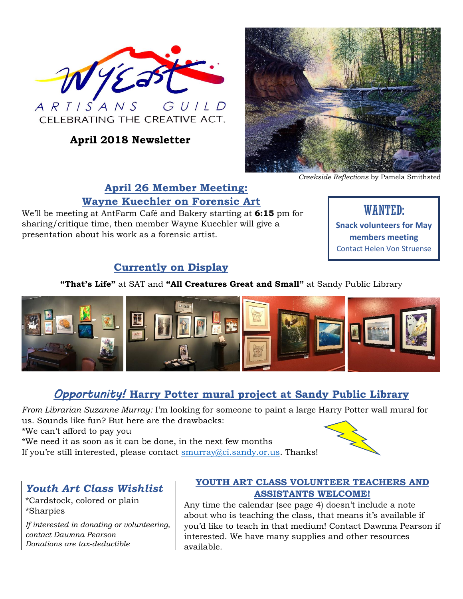

CELEBRATING THE CREATIVE ACT.

**April 2018 Newsletter**



*Creekside Reflections* by Pamela Smithsted

## **April 26 Member Meeting: Wayne Kuechler on Forensic Art**

We'll be meeting at AntFarm Café and Bakery starting at **6:15** pm for sharing/critique time, then member Wayne Kuechler will give a presentation about his work as a forensic artist.

WANTED: **Snack volunteers for May members meeting** Contact Helen Von Struense

## **Currently on Display**

#### **"That's Life"** at SAT and **"All Creatures Great and Small"** at Sandy Public Library



# *Opportunity!* **Harry Potter mural project at Sandy Public Library**

*From Librarian Suzanne Murray:* I'm looking for someone to paint a large Harry Potter wall mural for us. Sounds like fun? But here are the drawbacks:

\*We can't afford to pay you

\*We need it as soon as it can be done, in the next few months

If you're still interested, please contact [smurray@ci.sandy.or.us.](mailto:smurray@ci.sandy.or.us) Thanks!



### *Youth Art Class Wishlist*

\*Cardstock, colored or plain \*Sharpies

*If interested in donating or volunteering, contact Dawnna Pearson Donations are tax-deductible*

#### **YOUTH ART CLASS VOLUNTEER TEACHERS AND ASSISTANTS WELCOME!**

Any time the calendar (see page 4) doesn't include a note about who is teaching the class, that means it's available if you'd like to teach in that medium! Contact Dawnna Pearson if interested. We have many supplies and other resources available.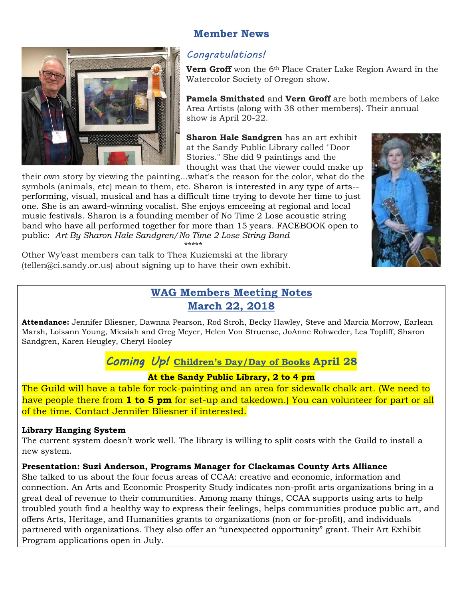## **Member News**



## *Congratulations!*

**Vern Groff** won the 6<sup>th</sup> Place Crater Lake Region Award in the Watercolor Society of Oregon show.

**Pamela Smithsted** and **Vern Groff** are both members of Lake Area Artists (along with 38 other members). Their annual show is April 20-22.

**Sharon Hale Sandgren** has an art exhibit at the Sandy Public Library called "Door Stories." She did 9 paintings and the thought was that the viewer could make up

their own story by viewing the painting...what's the reason for the color, what do the symbols (animals, etc) mean to them, etc. Sharon is interested in any type of arts- performing, visual, musical and has a difficult time trying to devote her time to just one. She is an award-winning vocalist. She enjoys emceeing at regional and local music festivals. Sharon is a founding member of No Time 2 Lose acoustic string band who have all performed together for more than 15 years. FACEBOOK open to public: *Art By Sharon Hale Sandgren/No Time 2 Lose String Band* \*\*\*\*\*



Other Wy'east members can talk to Thea Kuziemski at the library (tellen@ci.sandy.or.us) about signing up to have their own exhibit.

## **WAG Members Meeting Notes March 22, 2018**

**Attendance:** Jennifer Bliesner, Dawnna Pearson, Rod Stroh, Becky Hawley, Steve and Marcia Morrow, Earlean Marsh, Loisann Young, Micaiah and Greg Meyer, Helen Von Struense, JoAnne Rohweder, Lea Topliff, Sharon Sandgren, Karen Heugley, Cheryl Hooley

*Coming Up!* **Children's Day/Day of Books April 28**

## **At the Sandy Public Library, 2 to 4 pm**

The Guild will have a table for rock-painting and an area for sidewalk chalk art. (We need to have people there from **1 to 5 pm** for set-up and takedown.) You can volunteer for part or all of the time. Contact Jennifer Bliesner if interested.

#### **Library Hanging System**

The current system doesn't work well. The library is willing to split costs with the Guild to install a new system.

#### **Presentation: Suzi Anderson, Programs Manager for Clackamas County Arts Alliance**

She talked to us about the four focus areas of CCAA: creative and economic, information and connection. An Arts and Economic Prosperity Study indicates non-profit arts organizations bring in a great deal of revenue to their communities. Among many things, CCAA supports using arts to help troubled youth find a healthy way to express their feelings, helps communities produce public art, and offers Arts, Heritage, and Humanities grants to organizations (non or for-profit), and individuals partnered with organizations. They also offer an "unexpected opportunity" grant. Their Art Exhibit Program applications open in July.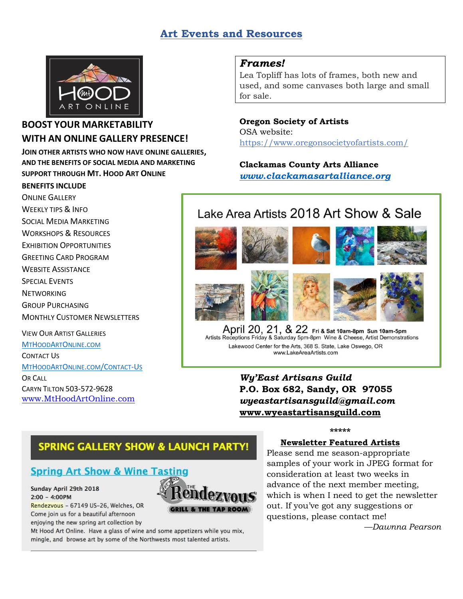## **Art Events and Resources**



#### **BOOST YOUR MARKETABILITY WITH AN ONLINE GALLERY PRESENCE!**

**JOIN OTHER ARTISTS WHO NOW HAVE ONLINE GALLERIES, AND THE BENEFITS OF SOCIAL MEDIA AND MARKETING SUPPORT THROUGH MT. HOOD ART ONLINE**

#### **BENEFITS INCLUDE**

ONLINE GALLERY WEEKLY TIPS & INFO SOCIAL MEDIA MARKETING WORKSHOPS & RESOURCES EXHIBITION OPPORTUNITIES GREETING CARD PROGRAM WEBSITE ASSISTANCE SPECIAL EVENTS **NETWORKING** GROUP PURCHASING MONTHLY CUSTOMER NEWSLETTERS VIEW OUR ARTIST GALLERIES [M](http://www.mthoodartonline.com/)[T](http://www.mthoodartonline.com/)[H](http://www.mthoodartonline.com/)[OOD](http://www.mthoodartonline.com/)[A](http://www.mthoodartonline.com/)[RT](http://www.mthoodartonline.com/)[O](http://www.mthoodartonline.com/)[NLINE](http://www.mthoodartonline.com/)[.](http://www.mthoodartonline.com/)[COM](http://www.mthoodartonline.com/)

CONTACT US [M](http://www.mthoodartonline/Contact-Us)[T](http://www.mthoodartonline/Contact-Us)[H](http://www.mthoodartonline/Contact-Us)[OOD](http://www.mthoodartonline/Contact-Us)[A](http://www.mthoodartonline/Contact-Us)[RT](http://www.mthoodartonline/Contact-Us)[O](http://www.mthoodartonline/Contact-Us)[NLINE](http://www.mthoodartonline/Contact-Us)[.](http://www.mthoodartonline/Contact-Us)[COM](http://www.mthoodartonline/Contact-Us)[/C](http://www.mthoodartonline/Contact-Us)[ONTACT](http://www.mthoodartonline/Contact-Us)[-U](http://www.mthoodartonline/Contact-Us)[S](http://www.mthoodartonline/Contact-Us) OR CALL CARYN TILTON 503-572-9628 [www.MtHoodArtOnline.com](http://www.mthoodartonline.com/)

#### *Frames!*

Lea Topliff has lots of frames, both new and used, and some canvases both large and small for sale.

## **Oregon Society of Artists** OSA website:

<https://www.oregonsocietyofartists.com/>

### **Clackamas County Arts Alliance**

*[www.clackamasartalliance.org](http://www.clackamasartalliance.org/)*

# Lake Area Artists 2018 Art Show & Sale



April 20, 21, & 22 Fri & Sat 10am-8pm Sun 10am-5pm Artists Receptions Friday & Saturday 5pm-8pm Wine & Cheese, Artist Demonstrations Lakewood Center for the Arts, 368 S. State, Lake Oswego, OR www.LakeAreaArtists.com

> *Wy'East Artisans Guild* **P.O. Box 682, Sandy, OR 97055** *wyeastartisansguild@gmail.com* **[www.wyeastartisansguild.com](http://www.wyeastartisansguild.com/)**

> > **\*\*\*\*\***

#### **Newsletter Featured Artists**

## **SPRING GALLERY SHOW & LAUNCH PARTY!**

**& THE TAP ROOM** 

### **Spring Art Show & Wine Tasting**

#### Sunday April 29th 2018  $2:00 - 4:00$ PM

Rendezvous - 67149 US-26, Welches, OR Come join us for a beautiful afternoon enjoying the new spring art collection by

Mt Hood Art Online. Have a glass of wine and some appetizers while you mix, mingle, and browse art by some of the Northwests most talented artists.

Please send me season-appropriate samples of your work in JPEG format for consideration at least two weeks in advance of the next member meeting, which is when I need to get the newsletter out. If you've got any suggestions or questions, please contact me!

*—Dawnna Pearson*